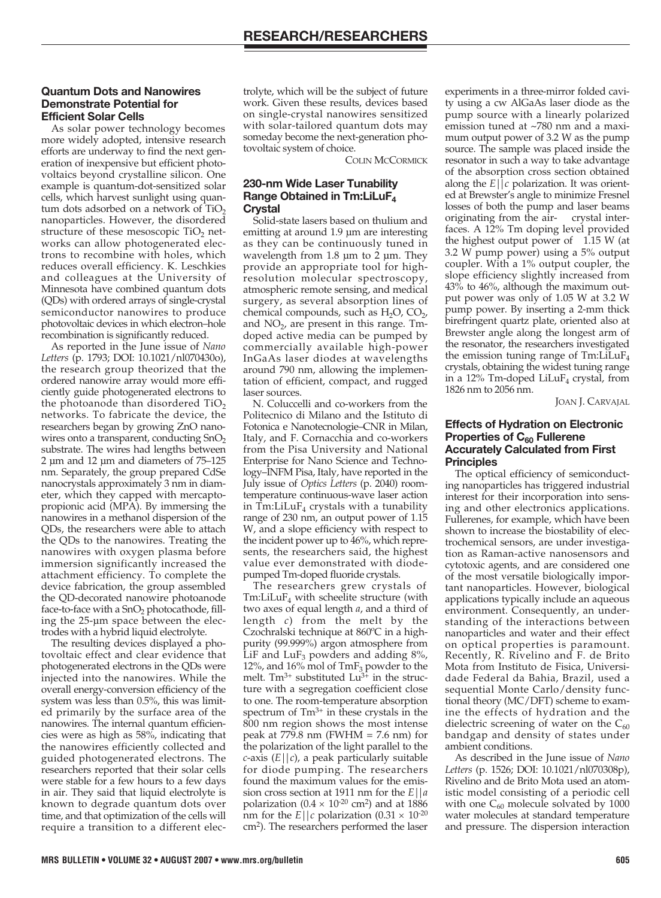#### **Quantum Dots and Nanowires Demonstrate Potential for Efficient Solar Cells**

As solar power technology becomes more widely adopted, intensive research efforts are underway to find the next generation of inexpensive but efficient photovoltaics beyond crystalline silicon. One example is quantum-dot-sensitized solar cells, which harvest sunlight using quantum dots adsorbed on a network of  $TiO<sub>2</sub>$ nanoparticles. However, the disordered structure of these mesoscopic  $TiO<sub>2</sub>$  networks can allow photogenerated electrons to recombine with holes, which reduces overall efficiency. K. Leschkies and colleagues at the University of Minnesota have combined quantum dots (QDs) with ordered arrays of single-crystal semiconductor nanowires to produce photovoltaic devices in which electron–hole recombination is significantly reduced.

As reported in the June issue of *Nano Letters* (p. 1793; DOI: 10.1021/nl070430o), the research group theorized that the ordered nanowire array would more efficiently guide photogenerated electrons to the photoanode than disordered  $TiO<sub>2</sub>$ networks. To fabricate the device, the researchers began by growing ZnO nanowires onto a transparent, conducting  $SnO<sub>2</sub>$ substrate. The wires had lengths between 2 μm and 12 μm and diameters of 75–125 nm. Separately, the group prepared CdSe nanocrystals approximately 3 nm in diameter, which they capped with mercaptopropionic acid (MPA). By immersing the nanowires in a methanol dispersion of the QDs, the researchers were able to attach the QDs to the nanowires. Treating the nanowires with oxygen plasma before immersion significantly increased the attachment efficiency. To complete the device fabrication, the group assembled the QD-decorated nanowire photoanode face-to-face with a SnO<sub>2</sub> photocathode, filling the 25-μm space between the electrodes with a hybrid liquid electrolyte.

The resulting devices displayed a photovoltaic effect and clear evidence that photogenerated electrons in the QDs were injected into the nanowires. While the overall energy-conversion efficiency of the system was less than 0.5%, this was limited primarily by the surface area of the nanowires. The internal quantum efficiencies were as high as 58%, indicating that the nanowires efficiently collected and guided photogenerated electrons. The researchers reported that their solar cells were stable for a few hours to a few days in air. They said that liquid electrolyte is known to degrade quantum dots over time, and that optimization of the cells will require a transition to a different electrolyte, which will be the subject of future work. Given these results, devices based on single-crystal nanowires sensitized with solar-tailored quantum dots may someday become the next-generation photovoltaic system of choice.

COLIN MCCORMICK

# **230-nm Wide Laser Tunability Range Obtained in Tm:LiLuF4 Crystal**

Solid-state lasers based on thulium and emitting at around 1.9 μm are interesting as they can be continuously tuned in wavelength from 1.8 μm to 2 μm. They provide an appropriate tool for highresolution molecular spectroscopy, atmospheric remote sensing, and medical surgery, as several absorption lines of chemical compounds, such as  $H_2O$ ,  $CO_2$ , and  $NO<sub>2</sub>$ , are present in this range. Tmdoped active media can be pumped by commercially available high-power InGaAs laser diodes at wavelengths around 790 nm, allowing the implementation of efficient, compact, and rugged laser sources.

N. Coluccelli and co-workers from the Politecnico di Milano and the Istituto di Fotonica e Nanotecnologie–CNR in Milan, Italy, and F. Cornacchia and co-workers from the Pisa University and National Enterprise for Nano Science and Technology–INFM Pisa, Italy, have reported in the July issue of *Optics Letters* (p. 2040) roomtemperature continuous-wave laser action in  $Tm:LiLuF<sub>4</sub>$  crystals with a tunability range of 230 nm, an output power of 1.15 W, and a slope efficiency with respect to the incident power up to 46%, which represents, the researchers said, the highest value ever demonstrated with diodepumped Tm-doped fluoride crystals.

The researchers grew crystals of  $Tm:LiLuF<sub>4</sub>$  with scheelite structure (with two axes of equal length *a*, and a third of length *c*) from the melt by the Czochralski technique at 860ºC in a highpurity (99.999%) argon atmosphere from LiF and  $LuF_3$  powders and adding  $8\%$ , 12%, and 16% mol of  $TmF_3$  powder to the melt.  $Tm^{3+}$  substituted  $Lu^{3+}$  in the structure with a segregation coefficient close to one. The room-temperature absorption spectrum of  $Tm^{3+}$  in these crystals in the 800 nm region shows the most intense peak at  $779.8$  nm (FWHM =  $7.6$  nm) for the polarization of the light parallel to the *c*-axis (*E*||*c*), a peak particularly suitable for diode pumping. The researchers found the maximum values for the emission cross section at 1911 nm for the *E*||*a* polarization ( $0.4 \times 10^{-20}$  cm<sup>2</sup>) and at 1886 nm for the  $E||c$  polarization (0.31 × 10<sup>-20</sup> cm2). The researchers performed the laser experiments in a three-mirror folded cavity using a cw AlGaAs laser diode as the pump source with a linearly polarized emission tuned at ~780 nm and a maximum output power of 3.2 W as the pump source. The sample was placed inside the resonator in such a way to take advantage of the absorption cross section obtained along the  $E[\hat{c}]$  polarization. It was oriented at Brewster's angle to minimize Fresnel losses of both the pump and laser beams<br>originating from the air-<br>crystal interoriginating from the airfaces. A 12% Tm doping level provided the highest output power of 1.15 W (at 3.2 W pump power) using a 5% output coupler. With a 1% output coupler, the slope efficiency slightly increased from 43% to 46%, although the maximum output power was only of 1.05 W at 3.2 W pump power. By inserting a 2-mm thick birefringent quartz plate, oriented also at Brewster angle along the longest arm of the resonator, the researchers investigated the emission tuning range of  $Tm:LiLuF<sub>4</sub>$ crystals, obtaining the widest tuning range in a 12% Tm-doped LiLuF<sub>4</sub> crystal, from 1826 nm to 2056 nm.

JOAN J. CARVAJAL

#### **Effects of Hydration on Electronic Properties of C<sub>60</sub> Fullerene Accurately Calculated from First Principles**

The optical efficiency of semiconducting nanoparticles has triggered industrial interest for their incorporation into sensing and other electronics applications. Fullerenes, for example, which have been shown to increase the biostability of electrochemical sensors, are under investigation as Raman-active nanosensors and cytotoxic agents, and are considered one of the most versatile biologically important nanoparticles. However, biological applications typically include an aqueous environment. Consequently, an understanding of the interactions between nanoparticles and water and their effect on optical properties is paramount. Recently, R. Rivelino and F. de Brito Mota from Instituto de Fisica, Universidade Federal da Bahia, Brazil, used a sequential Monte Carlo/density functional theory (MC/DFT) scheme to examine the effects of hydration and the dielectric screening of water on the  $C_{60}$ bandgap and density of states under ambient conditions.

As described in the June issue of *Nano Letters* (p. 1526; DOI: 10.1021/nl070308p), Rivelino and de Brito Mota used an atomistic model consisting of a periodic cell with one  $C_{60}$  molecule solvated by 1000 water molecules at standard temperature and pressure. The dispersion interaction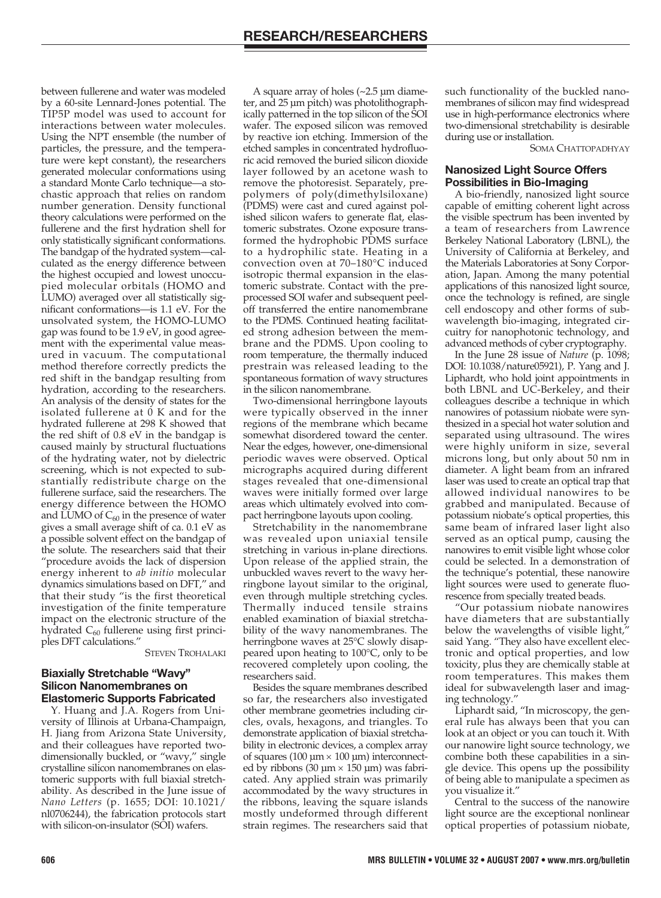between fullerene and water was modeled by a 60-site Lennard-Jones potential. The TIP5P model was used to account for interactions between water molecules. Using the NPT ensemble (the number of particles, the pressure, and the temperature were kept constant), the researchers generated molecular conformations using a standard Monte Carlo technique—a stochastic approach that relies on random number generation. Density functional theory calculations were performed on the fullerene and the first hydration shell for only statistically significant conformations. The bandgap of the hydrated system—calculated as the energy difference between the highest occupied and lowest unoccupied molecular orbitals (HOMO and LUMO) averaged over all statistically significant conformations—is 1.1 eV. For the unsolvated system, the HOMO-LUMO gap was found to be 1.9 eV, in good agreement with the experimental value measured in vacuum. The computational method therefore correctly predicts the red shift in the bandgap resulting from hydration, according to the researchers. An analysis of the density of states for the isolated fullerene at 0 K and for the hydrated fullerene at 298 K showed that the red shift of 0.8 eV in the bandgap is caused mainly by structural fluctuations of the hydrating water, not by dielectric screening, which is not expected to substantially redistribute charge on the fullerene surface, said the researchers. The energy difference between the HOMO and LUMO of  $C_{60}$  in the presence of water gives a small average shift of ca. 0.1 eV as a possible solvent effect on the bandgap of the solute. The researchers said that their "procedure avoids the lack of dispersion energy inherent to *ab initio* molecular dynamics simulations based on DFT," and that their study "is the first theoretical investigation of the finite temperature impact on the electronic structure of the hydrated  $C_{60}$  fullerene using first principles DFT calculations."

STEVEN TROHALAKI

## **Biaxially Stretchable "Wavy" Silicon Nanomembranes on Elastomeric Supports Fabricated**

Y. Huang and J.A. Rogers from University of Illinois at Urbana-Champaign, H. Jiang from Arizona State University, and their colleagues have reported twodimensionally buckled, or "wavy," single crystalline silicon nanomembranes on elastomeric supports with full biaxial stretchability. As described in the June issue of *Nano Letters* (p. 1655; DOI: 10.1021/ nl0706244), the fabrication protocols start with silicon-on-insulator (SOI) wafers.

A square array of holes (~2.5 μm diameter, and 25 μm pitch) was photolithographically patterned in the top silicon of the SOI wafer. The exposed silicon was removed by reactive ion etching. Immersion of the etched samples in concentrated hydrofluoric acid removed the buried silicon dioxide layer followed by an acetone wash to remove the photoresist. Separately, prepolymers of poly(dimethylsiloxane) (PDMS) were cast and cured against polished silicon wafers to generate flat, elastomeric substrates. Ozone exposure transformed the hydrophobic PDMS surface to a hydrophilic state. Heating in a convection oven at 70-180°C induced isotropic thermal expansion in the elastomeric substrate. Contact with the preprocessed SOI wafer and subsequent peeloff transferred the entire nanomembrane to the PDMS. Continued heating facilitated strong adhesion between the membrane and the PDMS. Upon cooling to room temperature, the thermally induced prestrain was released leading to the spontaneous formation of wavy structures in the silicon nanomembrane.

Two-dimensional herringbone layouts were typically observed in the inner regions of the membrane which became somewhat disordered toward the center. Near the edges, however, one-dimensional periodic waves were observed. Optical micrographs acquired during different stages revealed that one-dimensional waves were initially formed over large areas which ultimately evolved into compact herringbone layouts upon cooling.

Stretchability in the nanomembrane was revealed upon uniaxial tensile stretching in various in-plane directions. Upon release of the applied strain, the unbuckled waves revert to the wavy herringbone layout similar to the original, even through multiple stretching cycles. Thermally induced tensile strains enabled examination of biaxial stretchability of the wavy nanomembranes. The herringbone waves at 25°C slowly disappeared upon heating to 100°C, only to be recovered completely upon cooling, the researchers said.

Besides the square membranes described so far, the researchers also investigated other membrane geometries including circles, ovals, hexagons, and triangles. To demonstrate application of biaxial stretchability in electronic devices, a complex array of squares (100  $\mu$ m × 100  $\mu$ m) interconnected by ribbons (30  $\mu$ m × 150  $\mu$ m) was fabricated. Any applied strain was primarily accommodated by the wavy structures in the ribbons, leaving the square islands mostly undeformed through different strain regimes. The researchers said that

such functionality of the buckled nanomembranes of silicon may find widespread use in high-performance electronics where two-dimensional stretchability is desirable during use or installation.

SOMA CHATTOPADHYAY

#### **Nanosized Light Source Offers Possibilities in Bio-Imaging**

A bio-friendly, nanosized light source capable of emitting coherent light across the visible spectrum has been invented by a team of researchers from Lawrence Berkeley National Laboratory (LBNL), the University of California at Berkeley, and the Materials Laboratories at Sony Corporation, Japan. Among the many potential applications of this nanosized light source, once the technology is refined, are single cell endoscopy and other forms of subwavelength bio-imaging, integrated circuitry for nanophotonic technology, and advanced methods of cyber cryptography.

In the June 28 issue of *Nature* (p. 1098; DOI: 10.1038/nature05921), P. Yang and J. Liphardt, who hold joint appointments in both LBNL and UC-Berkeley, and their colleagues describe a technique in which nanowires of potassium niobate were synthesized in a special hot water solution and separated using ultrasound. The wires were highly uniform in size, several microns long, but only about 50 nm in diameter. A light beam from an infrared laser was used to create an optical trap that allowed individual nanowires to be grabbed and manipulated. Because of potassium niobate's optical properties, this same beam of infrared laser light also served as an optical pump, causing the nanowires to emit visible light whose color could be selected. In a demonstration of the technique's potential, these nanowire light sources were used to generate fluorescence from specially treated beads.

"Our potassium niobate nanowires have diameters that are substantially below the wavelengths of visible light," said Yang. "They also have excellent electronic and optical properties, and low toxicity, plus they are chemically stable at room temperatures. This makes them ideal for subwavelength laser and imaging technology."

Liphardt said, "In microscopy, the general rule has always been that you can look at an object or you can touch it. With our nanowire light source technology, we combine both these capabilities in a single device. This opens up the possibility of being able to manipulate a specimen as you visualize it."

Central to the success of the nanowire light source are the exceptional nonlinear optical properties of potassium niobate,